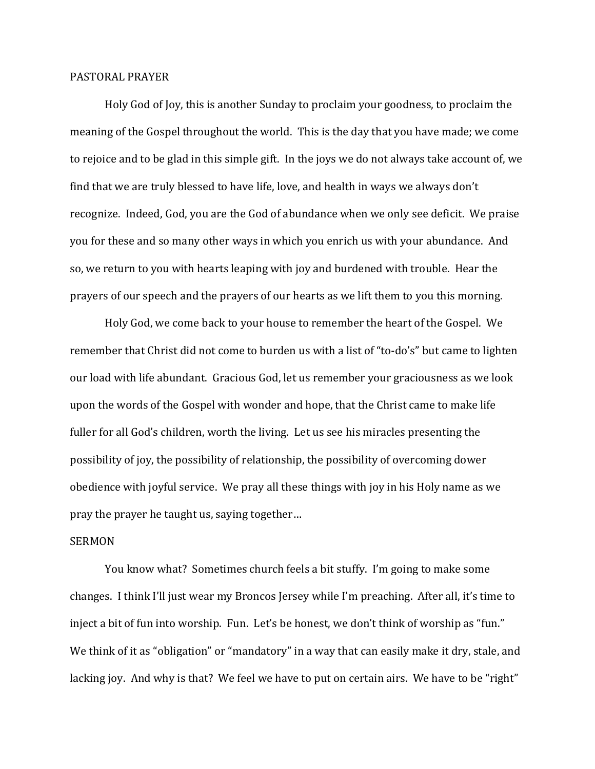## PASTORAL PRAYER

Holy God of Joy, this is another Sunday to proclaim your goodness, to proclaim the meaning of the Gospel throughout the world. This is the day that you have made; we come to rejoice and to be glad in this simple gift. In the joys we do not always take account of, we find that we are truly blessed to have life, love, and health in ways we always don't recognize. Indeed, God, you are the God of abundance when we only see deficit. We praise you for these and so many other ways in which you enrich us with your abundance. And so, we return to you with hearts leaping with joy and burdened with trouble. Hear the prayers of our speech and the prayers of our hearts as we lift them to you this morning.

Holy God, we come back to your house to remember the heart of the Gospel. We remember that Christ did not come to burden us with a list of "to-do's" but came to lighten our load with life abundant. Gracious God, let us remember your graciousness as we look upon the words of the Gospel with wonder and hope, that the Christ came to make life fuller for all God's children, worth the living. Let us see his miracles presenting the possibility of joy, the possibility of relationship, the possibility of overcoming dower obedience with joyful service. We pray all these things with joy in his Holy name as we pray the prayer he taught us, saying together…

## SERMON

You know what? Sometimes church feels a bit stuffy. I'm going to make some changes. I think I'll just wear my Broncos Jersey while I'm preaching. After all, it's time to inject a bit of fun into worship. Fun. Let's be honest, we don't think of worship as "fun." We think of it as "obligation" or "mandatory" in a way that can easily make it dry, stale, and lacking joy. And why is that? We feel we have to put on certain airs. We have to be "right"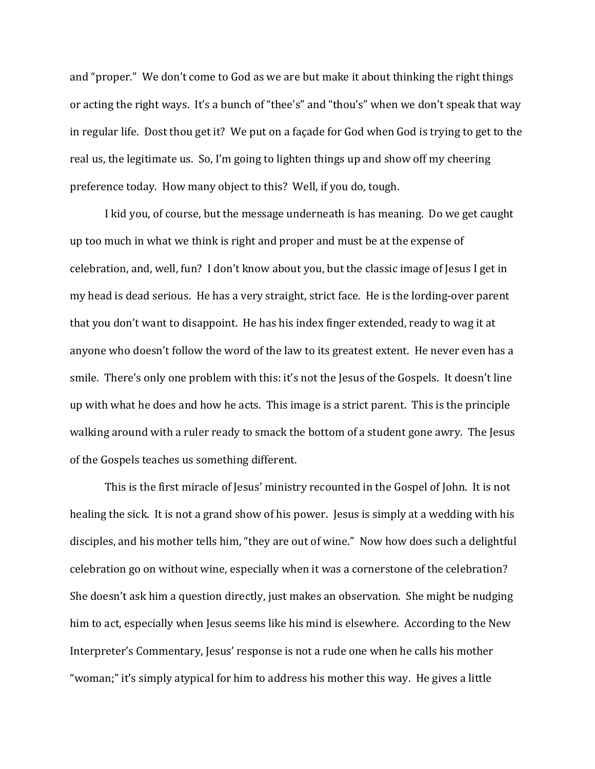and "proper." We don't come to God as we are but make it about thinking the right things or acting the right ways. It's a bunch of "thee's" and "thou's" when we don't speak that way in regular life. Dost thou get it? We put on a façade for God when God is trying to get to the real us, the legitimate us. So, I'm going to lighten things up and show off my cheering preference today. How many object to this? Well, if you do, tough.

I kid you, of course, but the message underneath is has meaning. Do we get caught up too much in what we think is right and proper and must be at the expense of celebration, and, well, fun? I don't know about you, but the classic image of Jesus I get in my head is dead serious. He has a very straight, strict face. He is the lording-over parent that you don't want to disappoint. He has his index finger extended, ready to wag it at anyone who doesn't follow the word of the law to its greatest extent. He never even has a smile. There's only one problem with this: it's not the Jesus of the Gospels. It doesn't line up with what he does and how he acts. This image is a strict parent. This is the principle walking around with a ruler ready to smack the bottom of a student gone awry. The Jesus of the Gospels teaches us something different.

This is the first miracle of Jesus' ministry recounted in the Gospel of John. It is not healing the sick. It is not a grand show of his power. Jesus is simply at a wedding with his disciples, and his mother tells him, "they are out of wine." Now how does such a delightful celebration go on without wine, especially when it was a cornerstone of the celebration? She doesn't ask him a question directly, just makes an observation. She might be nudging him to act, especially when Jesus seems like his mind is elsewhere. According to the New Interpreter's Commentary, Jesus' response is not a rude one when he calls his mother "woman;" it's simply atypical for him to address his mother this way. He gives a little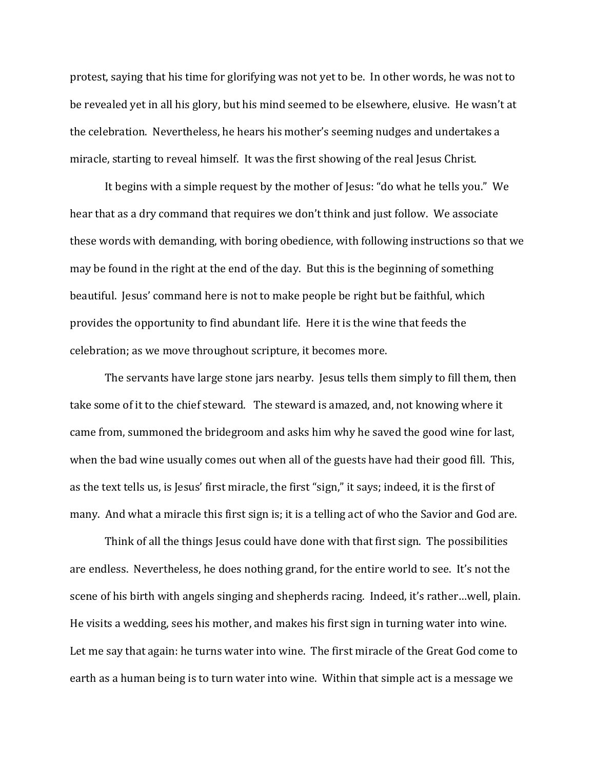protest, saying that his time for glorifying was not yet to be. In other words, he was not to be revealed yet in all his glory, but his mind seemed to be elsewhere, elusive. He wasn't at the celebration. Nevertheless, he hears his mother's seeming nudges and undertakes a miracle, starting to reveal himself. It was the first showing of the real Jesus Christ.

It begins with a simple request by the mother of Jesus: "do what he tells you." We hear that as a dry command that requires we don't think and just follow. We associate these words with demanding, with boring obedience, with following instructions so that we may be found in the right at the end of the day. But this is the beginning of something beautiful. Jesus' command here is not to make people be right but be faithful, which provides the opportunity to find abundant life. Here it is the wine that feeds the celebration; as we move throughout scripture, it becomes more.

The servants have large stone jars nearby. Jesus tells them simply to fill them, then take some of it to the chief steward. The steward is amazed, and, not knowing where it came from, summoned the bridegroom and asks him why he saved the good wine for last, when the bad wine usually comes out when all of the guests have had their good fill. This, as the text tells us, is Jesus' first miracle, the first "sign," it says; indeed, it is the first of many. And what a miracle this first sign is; it is a telling act of who the Savior and God are.

Think of all the things Jesus could have done with that first sign. The possibilities are endless. Nevertheless, he does nothing grand, for the entire world to see. It's not the scene of his birth with angels singing and shepherds racing. Indeed, it's rather…well, plain. He visits a wedding, sees his mother, and makes his first sign in turning water into wine. Let me say that again: he turns water into wine. The first miracle of the Great God come to earth as a human being is to turn water into wine. Within that simple act is a message we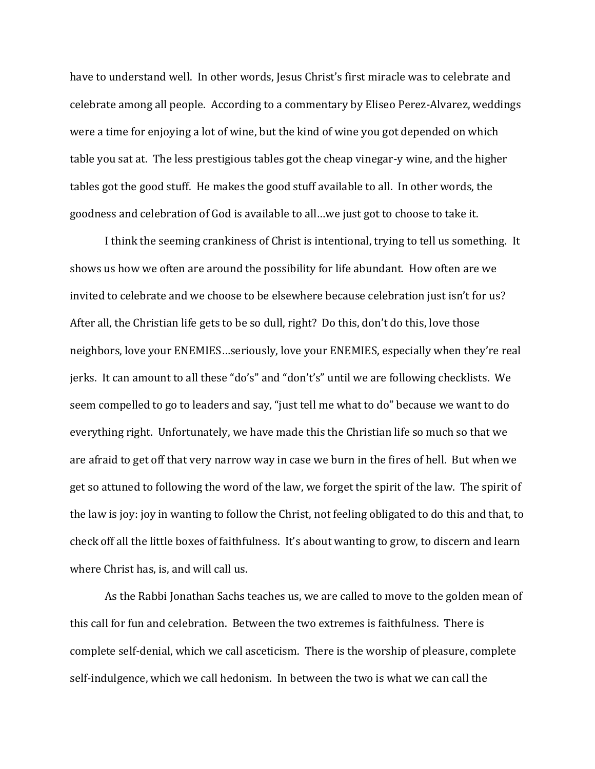have to understand well. In other words, Jesus Christ's first miracle was to celebrate and celebrate among all people. According to a commentary by Eliseo Perez-Alvarez, weddings were a time for enjoying a lot of wine, but the kind of wine you got depended on which table you sat at. The less prestigious tables got the cheap vinegar-y wine, and the higher tables got the good stuff. He makes the good stuff available to all. In other words, the goodness and celebration of God is available to all…we just got to choose to take it.

I think the seeming crankiness of Christ is intentional, trying to tell us something. It shows us how we often are around the possibility for life abundant. How often are we invited to celebrate and we choose to be elsewhere because celebration just isn't for us? After all, the Christian life gets to be so dull, right? Do this, don't do this, love those neighbors, love your ENEMIES…seriously, love your ENEMIES, especially when they're real jerks. It can amount to all these "do's" and "don't's" until we are following checklists. We seem compelled to go to leaders and say, "just tell me what to do" because we want to do everything right. Unfortunately, we have made this the Christian life so much so that we are afraid to get off that very narrow way in case we burn in the fires of hell. But when we get so attuned to following the word of the law, we forget the spirit of the law. The spirit of the law is joy: joy in wanting to follow the Christ, not feeling obligated to do this and that, to check off all the little boxes of faithfulness. It's about wanting to grow, to discern and learn where Christ has, is, and will call us.

As the Rabbi Jonathan Sachs teaches us, we are called to move to the golden mean of this call for fun and celebration. Between the two extremes is faithfulness. There is complete self-denial, which we call asceticism. There is the worship of pleasure, complete self-indulgence, which we call hedonism. In between the two is what we can call the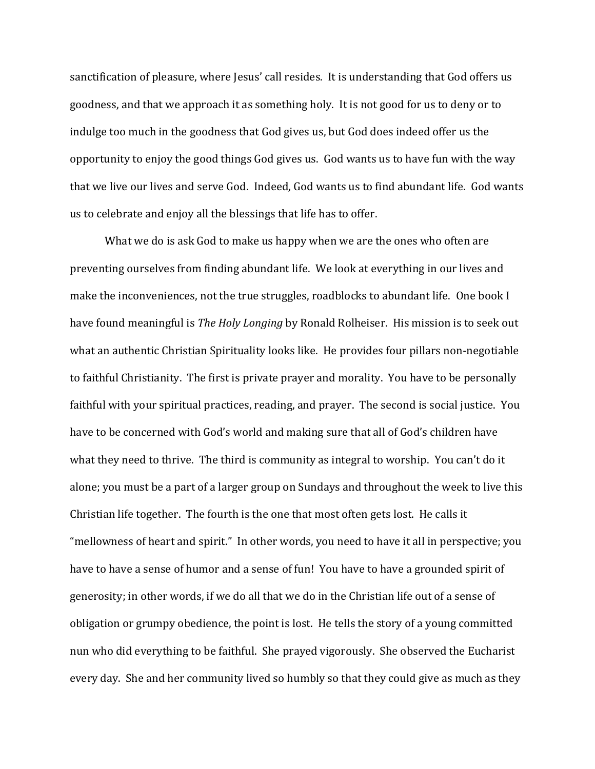sanctification of pleasure, where Jesus' call resides. It is understanding that God offers us goodness, and that we approach it as something holy. It is not good for us to deny or to indulge too much in the goodness that God gives us, but God does indeed offer us the opportunity to enjoy the good things God gives us. God wants us to have fun with the way that we live our lives and serve God. Indeed, God wants us to find abundant life. God wants us to celebrate and enjoy all the blessings that life has to offer.

What we do is ask God to make us happy when we are the ones who often are preventing ourselves from finding abundant life. We look at everything in our lives and make the inconveniences, not the true struggles, roadblocks to abundant life. One book I have found meaningful is *The Holy Longing* by Ronald Rolheiser. His mission is to seek out what an authentic Christian Spirituality looks like. He provides four pillars non-negotiable to faithful Christianity. The first is private prayer and morality. You have to be personally faithful with your spiritual practices, reading, and prayer. The second is social justice. You have to be concerned with God's world and making sure that all of God's children have what they need to thrive. The third is community as integral to worship. You can't do it alone; you must be a part of a larger group on Sundays and throughout the week to live this Christian life together. The fourth is the one that most often gets lost. He calls it "mellowness of heart and spirit." In other words, you need to have it all in perspective; you have to have a sense of humor and a sense of fun! You have to have a grounded spirit of generosity; in other words, if we do all that we do in the Christian life out of a sense of obligation or grumpy obedience, the point is lost. He tells the story of a young committed nun who did everything to be faithful. She prayed vigorously. She observed the Eucharist every day. She and her community lived so humbly so that they could give as much as they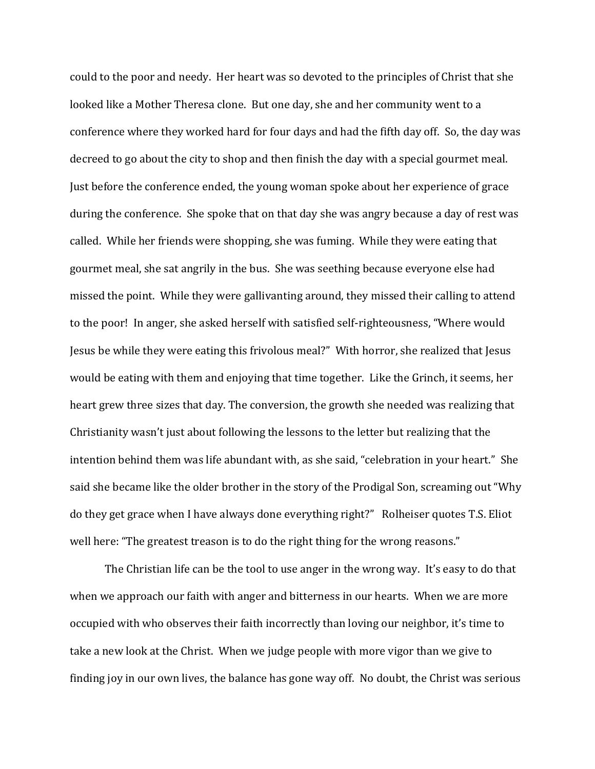could to the poor and needy. Her heart was so devoted to the principles of Christ that she looked like a Mother Theresa clone. But one day, she and her community went to a conference where they worked hard for four days and had the fifth day off. So, the day was decreed to go about the city to shop and then finish the day with a special gourmet meal. Just before the conference ended, the young woman spoke about her experience of grace during the conference. She spoke that on that day she was angry because a day of rest was called. While her friends were shopping, she was fuming. While they were eating that gourmet meal, she sat angrily in the bus. She was seething because everyone else had missed the point. While they were gallivanting around, they missed their calling to attend to the poor! In anger, she asked herself with satisfied self-righteousness, "Where would Jesus be while they were eating this frivolous meal?" With horror, she realized that Jesus would be eating with them and enjoying that time together. Like the Grinch, it seems, her heart grew three sizes that day. The conversion, the growth she needed was realizing that Christianity wasn't just about following the lessons to the letter but realizing that the intention behind them was life abundant with, as she said, "celebration in your heart." She said she became like the older brother in the story of the Prodigal Son, screaming out "Why do they get grace when I have always done everything right?" Rolheiser quotes T.S. Eliot well here: "The greatest treason is to do the right thing for the wrong reasons."

The Christian life can be the tool to use anger in the wrong way. It's easy to do that when we approach our faith with anger and bitterness in our hearts. When we are more occupied with who observes their faith incorrectly than loving our neighbor, it's time to take a new look at the Christ. When we judge people with more vigor than we give to finding joy in our own lives, the balance has gone way off. No doubt, the Christ was serious